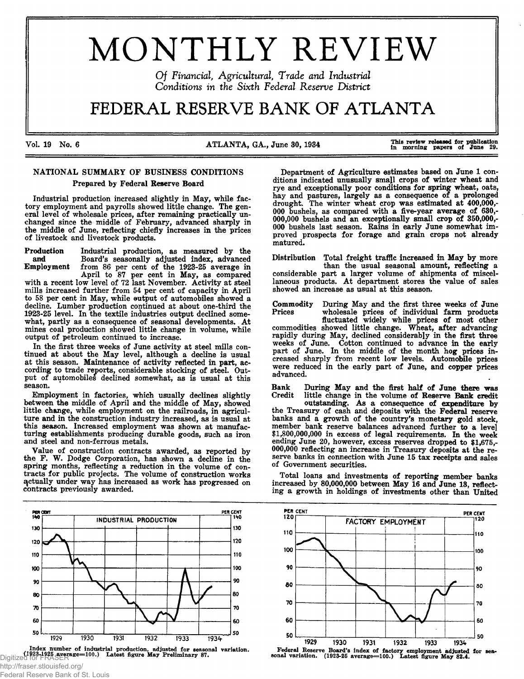# MONTHLY REVIEW

*Of Financial, Agricultural, Trade and Industrial Conditions in the Sixth Federal Reserve District* 

# FEDERAL RESERVE BANK OF ATLANTA

Vol. 19 No. 6

ATLANTA, GA., June 30, 1934

This review released for publication<br>in morning papers of June 29.

# NATIONAL SUMMARY OF BUSINESS CONDITIONS Prepared by Federal Reserve Board

Industrial production increased slightly in May, while factory employment and payrolls showed little change. The general level of wholesale prices, after remaining practically unchanged since the middle of February, advanced sharply in the middle of June, reflecting chiefly increases in the prices of livestock and livestock products.

Production Industrial production, as measured by the and Board's seasonally adjusted index, advanced<br>Employment from 86 per cent of the 1923-25 average in from 86 per cent of the 1923-25 average in April to 87 per cent in May, as compared

with a recent low level of 72 last November. Activity at steel mills increased further from 54 per cent of capacity in April to 58 per cent in May, while output of automobiles showed a decline. Lumber production continued at about one-third the 1923-25 level. In the textile industries output declined somewhat, partly as a consequence of seasonal developments. At mines coal production showed little change in volume, while output of petroleum continued to increase.

In the first three weeks of June activity at steel mills continued at about the May level, although a decline is usual at this season. Maintenance of activity reflected in part, according to trade reports, considerable stocking of steel. Output of automobiles declined somewhat, as is usual at this season.

Employment in factories, which usually declines slightly between the middle of April and the middle of May, showed little change, while employment on the railroads, in agriculture and in the construction industry increased, as is usual at this season. Increased employment was shown at manufacturing establishments producing durable goods, such as iron and steel and non-ferrous metals.

Value of construction contracts awarded, as reported by the F. W. Dodge Corporation, has shown a decline in the spring months, reflecting a reduction in the volume of contracts for public projects. The volume of construction works actually under way has increased as work has progressed on contracts previously awarded.



index number of industrial production, adjusted for seasonal variation. Federal Reserve Board's index of factory employment adjusted for sea-<br>Digitized for France (1923-1925-1926). Latest figure May Preliminary 87. 1923-25

http://fraser.stlouisfed.org/ Federal Reserve Bank of St. Louis

Department of Agriculture estimates based on June 1 conditions indicated unusually small crops of winter wheat and rye and exceptionally poor conditions for spring wheat, oats, hay and pastures, largely as a consequence of a prolonged drought. The winter wheat crop was estimated at 400,000,- 000 bushels, as compared with a five-year average of 630,- 000,000 bushels and an exceptionally small crop of 350,000,- 000 bushels last season. Rains in early June somewhat improved prospects for forage and grain crops not already matured.

Distribution Total freight traffic increased in May by more than the usual seasonal amount, reflecting a considerable part a larger volume of shipments of miscellaneous products. At department stores the value of sales showed an increase as usual at this season.

Commodity During May and the first three weeks of June Prices wholesale prices of individual farm products fluctuated widely while prices of most other commodities showed little change. Wheat, after advancing rapidly during May, declined considerably in the first three weeks of June. Cotton continued to advance in the early part of June. In the middle of the month hog prices increased sharply from recent low levels. Automobile prices were reduced in the early part of June, and copper prices advanced.

Bank During May and the first half of June there was Credit little change in the volume of Reserve Bank credit little change in the volume of Reserve Bank credit

outstanding. As a consequence of expenditure by the Treasury of cash and deposits with the Federal reserve banks and a growth of the country's monetary gold stock, member bank reserve balances advanced further to a level \$1,800,000,000 in excess of legal requirements. In the week ending June 20, however, excess reserves dropped to \$1,675,- 000,000 reflecting an increase in Treasury deposits at the reserve banks in connection with June 15 tax receipts and sales of Government securities.

Total loans and investments of reporting member banks increased by 80,000,000 between May 16 and June 18, reflecting a growth in holdings of investments other than United



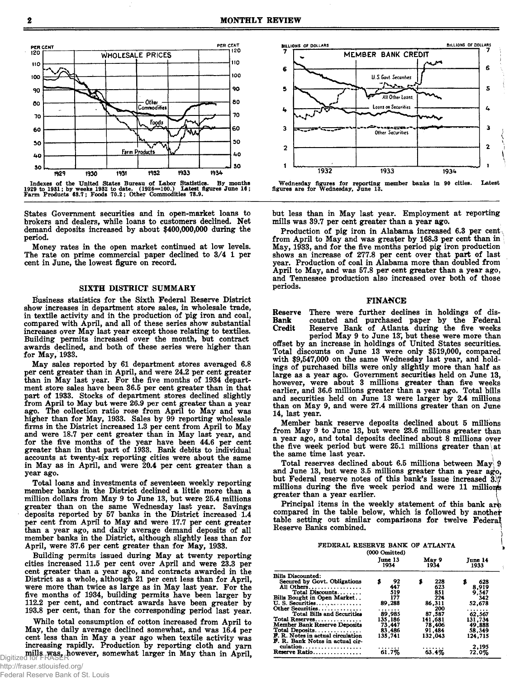

Indexes of the United States Bureau of Labor Statistics. By months<br>**1929 to 1931; by weeks 1932 to date.** (1926=100.) Latest figures June 16;<br>Farm Products 63.7; Foods 70.2; Other Commodities 78.9.

States Government securities and in open-market loans to brokers and dealers, while loans to customers declined. Net demand deposits increased by about \$400,000,000 during the period.

Money rates in the open market continued at low levels. The rate on prime commercial paper declined to 3/4 1 per cent in June, the lowest figure on record.

#### SIXTH DISTRICT SUMMARY

Business statistics for the Sixth Federal Reserve District show increases in department store sales, in wholesale trade, in textile activity and in the production of pig iron and coal, compared with April, and all of these series show substantial increases over May last year except those relating to textiles. Building permits increased over the month, but contract awards declined, and both of these series were higher than for May, 1933.

May sales reported by 61 department stores averaged 6.8 per cent greater than in April, and were 24.2 per cent greater than in May last year. For the five months of 1934 department store sales have been 36.5 per cent greater than in that part of 1933. Stocks of department stores declined slightly from April to May but were 26.9 per cent greater than a year ago. The collection ratio rose from April to May and was higher than for May, 1933. Sales by 99 reporting wholesale firms in the District increased 1.3 per cent from April to May and were 18.7 per cent greater than in May last year, and for the five months of the year have been 44.6 per cent greater than in that part of 1933. Bank debits to individual accounts at twenty-six reporting cities were about the same in May as in April, and were 20.4 per cent greater than a year ago.

Total loans and investments of seventeen weekly reporting member banks in the District declined a little more than a million dollars from May 9 to June 13, but were 25.4 millions greater than on the same Wednesday last year. Savings deposits reported by 57 banks in the District increased 1.4 per cent from April to May and were 17.7 per cent greater than a year ago, and daily average demand deposits of all member banks in the District, although slightly less than for April, were 37.6 per cent greater than for May, 1933.

Building permits issued during May at twenty reporting cities increased 11.5 per cent over April and were 23.3 per cent greater than a year ago, and contracts awarded in the District as a whole, although 21 per cent less than for April, were more than twice as large as in May last year. For the five months of 1934, building permits have been larger by 112.2 per cent, and contract awards have been greater by 193.8 per cent, than for the corresponding period last year.

While total consumption of cotton increased from April to May, the daily average declined somewhat, and was 16.4 per cent less than in May a year ago when textile activity was increasing rapidly. Production by reporting cloth and yarn mills was, however, somewhat larger in May than in April,



**Wednesday figures for reporting member banks in 90 cities. Latest figures are for Wednesday, June 13.**

but less than in May last year. Employment at reporting mills was 39.7 per cent greater than a year ago.

Production of pig iron in Alabama increased 6.3 per cent from April to May and was greater by 168.3 per cent than in May, 1933, and for the five months period pig iron production shows an increase of 277.8 per cent over that part of last year. Production of coal in Alabama more than doubled from April to May, and was 57.8 per cent greater than a year ago, and Tennessee production also increased over both of those periods.

#### FINANCE

Reserve There were further declines in holdings of dis-<br>Bank counted and purchased paper by the Federal Bank counted and purchased paper by the Federal Credit Reserve Bank of Atlanta during the five weeks Reserve Bank of Atlanta during the five weeks

period May 9 to June 13', but these were more than offset by an increase in holdings of United States securities. Total discounts on June 13 were only \$519,000, compared with \$9,547,000 on the same Wednesday last year, and holdings of purchased bills were only slightly more than half as large as a year ago. Government securities held on June 13, however, were about 3 millions greater than five weeks earlier, and 36.6 millions greater than a year ago. Total bills and securities held on June 13 were larger by 2.4 millions than on May 9, and were 27.4 millions greater than on June 14, last year.

Member bank reserve deposits declined about 5 millions from May 9 to June 13, but were 23.6 millions greater than a year ago, and total deposits declined about 8 millions over the five week period but were 25.1 millions greater than at the same time last year. \

Total reserves declined about 6.5 millions between May  $9$ and June 13, but were 3.5 millions greater than a year ago, but Federal reserve notes of this bank's issue increased 3.7 millions during the five week period and were 11 millions greater than a year earlier.

Principal items in the weekly statement of this bank are compared in the table below, which is followed by anothet table setting out similar comparisons for twelve Federal Reserve Banks combined. 1

#### FEDERAL RESERVE BANK OF ATLANTA **(000 Omitted) June 13 1934 M ay 9 1934 June 14 1933**

| <b>Bills Discounted:</b>            |                  |         |         |
|-------------------------------------|------------------|---------|---------|
|                                     |                  |         |         |
| Secured by Govt. Obligations        | $\frac{92}{447}$ | 228     | 628     |
| All Others                          |                  | 623     | 8,919   |
| Total Discounts                     | 519              | 851     | 9.547   |
| Bills Bought in Open Market         | 177              | 224     | 342     |
| U.S. Securities                     | 89,288           | 86,311  | 52.678  |
| Other Securities                    | .                | 200     | .       |
| Total Bills and Securities          | 89,985           | 87.587  | 62,567  |
| Total Reserves                      | 135.186          | 141.681 | 131,734 |
| <b>Member Bank Reserve Deposits</b> | 73.447           | 78,406  | 49,888  |
| Total Deposits                      | 83,486           | 91,484  | 58.349  |
| F. R. Notes in actual circulation   | 135,741          | 132,043 | 124.715 |
| F. R. Bank Notes in actual cir-     |                  |         |         |
| culation                            |                  |         | 2.195   |
| Reserve Ratio                       | 61.7%            | 63.4%   | 72.0%   |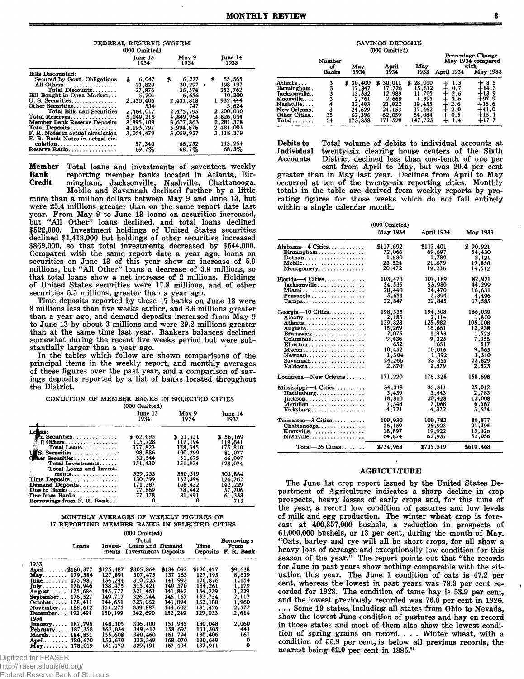FEDERAL RESERVE SYSTEM  $(000 \text{ Omitted})$ June 14 June 13<br>1934 May 9<br>1934  $6,277$ <br>  $30,297$ <br>  $36,574$ <br>  $6,65$ <br>  $31$ Bille Discounted:  $$55,565$ <br>  $198,197$ <br>  $253,762$ <br>  $10,200$ <br>  $1,932,444$ <br>  $3,624$ <br>  $3,826,044$ <br>  $2,281,378$ <br>  $2,481,093$ 6,047  $\hat{\mathbf{x}}$  $21,829$ <br> $27,876$ <br> $5,201$  $6,656$ <br>  $2,431,818$ <br>  $747$ <br>  $2,475,795$ <br>  $4,849,964$ <br>  $3,677,863$ <br>  $3,994,876$  $2,430,406$ <br> $534$ <br> $2,464,017$ 5,049,216<br>3,895,108<br>4,193,797  $3,054,479$ 3,059,927 3, 118, 379 57,340<br>69.7% 66,252<br>68.7% 113,264<br>68.3% 

Total loans and investments of seventeen weekly Member **Bank** reporting member banks located in Atlanta, Bir-Credit mingham, Jacksonville, Nashville, Chattanooga,

Mobile and Savannah declined further by a little more than a million dollars between May 9 and June 13, but were 25.4 millions greater than on the same report date last vear. From May 9 to June 13 loans on securities increased,<br>but "All Other" loans declined, and total loans declined<br>\$522,000. Investment holdings of United States securities declined \$1,413,000 but holdings of other securities increased \$869,000, so that total investments decreased by \$544,000. Compared with the same report date a year ago, loans on<br>securities on June 13 of this year show an increase of 5.9 millions, but "All Other" loans a decrease of 3.9 millions, so that total loans show a net increase of 2 millions. Holdings of United States securities were 17.8 millions, and of other securities 5.5 millions, greater than a year ago.

Time deposits reported by these 17 banks on June 13 were 3 millions less than five weeks earlier, and 3.6 millions greater than a year ago, and demand deposits increased from May 9 to June 13 by about 3 millions and were 29.2 millions greater than at the same time last year. Bankers balances declined somewhat during the recent five weeks period but were substantially larger than a year ago.

In the tables which follow are shown comparisons of the principal items in the weekly report, and monthly averages of these figures over the past year, and a comparison of savings deposits reported by a list of banks located throughout the District.

| CONDITION OF MEMBER BANKS IN SELECTED CITIES |  |  |  |  |  |  |  |  |
|----------------------------------------------|--|--|--|--|--|--|--|--|
| $(000 \text{ Omitted})$                      |  |  |  |  |  |  |  |  |

|                            | <b>TOOD OTHERS</b> |               |                 |
|----------------------------|--------------------|---------------|-----------------|
|                            | Tune 13<br>1934    | May 9<br>1934 | June 14<br>1933 |
| Lokus:                     |                    |               |                 |
| <b>En Securities</b>       | \$62.095           | \$61.151      | \$56.169        |
| $\mathbf{11}$ Others       | 115.728            | 117.194       | 119.641         |
| Total Loans                | 177.823            | 178.345       | 175,810         |
| US. Securities             | 98.886             | 100.299       | 81,077          |
| <b>Ceher Securities</b>    | 52.544             | 51.675        | 46,997          |
| Total Investments          | 151.430            | 151.974       | 128.074         |
| Total Loans and Invest-    |                    |               |                 |
| ments.                     | 329.253            | 330,319       | 303,884         |
| Time Deposits              | 130.399            | 133.394       | 126.762         |
| Demand Deposits            | 171.387            | 168.432       | 142.229         |
| Due to Banks               | 77,669             | 78.442        | 57.706          |
| Due from Banks             | 77.178             | 81.491        | 61.338          |
| Borrowings from F. R. Bank |                    |               | 713             |

#### MONTHLY AVERAGES OF WEEKLY FIGURES OF 17 REPORTING MEMBER BANKS IN SELECTED CITIES

|                     |         |                  | (000 Omitted)                                     |           |                  |                                   |
|---------------------|---------|------------------|---------------------------------------------------|-----------|------------------|-----------------------------------|
|                     | Loans   | Invest-<br>ments | Total<br>Loans and Demand<br>Investments Deposits |           | Time<br>Deposits | Borrowing's<br>From<br>F. R. Bank |
| 1933                |         |                  |                                                   |           |                  |                                   |
| April\$180.377      |         | \$125,487        | \$305,864                                         | \$134,092 | \$126,477        | \$9,638                           |
| May 179.584         |         | 127.891          | 307,475                                           | 137.163   | 127.195          | 8.619                             |
| June.               | 175.981 | 134.244          | 310.225                                           | 141.993   | 126,876          | 1.154                             |
| July                | 176.946 | 138.475          | 315.421                                           | 140.570   | 134,261          | 1,179                             |
| August              | 175.684 | 145.777          | 321.461                                           | 141.842   | 134.239          | 1.229                             |
| September           | 176.527 | 149.717          | 326.244                                           | 145, 167  | 132.754          | 2,112                             |
| $October \dots$ .   | 178.411 | 144.651          | 323,062                                           | 141.894   | 132.160          | 1.960                             |
| November            | 188.612 | 151,275          | 339.887                                           | 144.602   | 131.426          | 2.572                             |
| December            | 192.491 | 150.199          | 342,690                                           | 152.249   | 129,033          | 2.614                             |
| 1934                |         |                  |                                                   |           |                  |                                   |
| January             | 187.795 | 148.305          | 336.100                                           | 151.935   | 130.048          | 2.060                             |
| February            | 187,358 | 162,054          | 349,412                                           | 158.695   | 131,505          | 441                               |
| $M$ arch $\ldots$ . | 184.851 | 155.608          | 340,460                                           | 161.794   | 130.406          | 161                               |
| April.              | 180.670 | 152.679          | 333,349                                           | 168.070   | 130.649          | 0                                 |
| May                 | 178.019 | 151,172          | 329,191                                           | 167.404   | 132,911          | 0                                 |

Digitized for FRASER

http://fraser.stlouisfed.org/

Federal Reserve Bank of St. Louis

| AVINGS DEPOSITS |
|-----------------|
| (000 Omitted)   |

s

|                     |                       |             | ww omnear     |              |            | <b>Percentage Change</b>              |
|---------------------|-----------------------|-------------|---------------|--------------|------------|---------------------------------------|
|                     | Number<br>of<br>Banks | May<br>1934 | April<br>1934 | May<br>1933  | April 1934 | May 1934 compared<br>with<br>May 1933 |
| Atlanta             | 3                     | \$30.400    | 30.011<br>S.  | 28,010<br>\$ | 1.3        | 8.5                                   |
| Bırmingham .        |                       | 17.847      | 17.726        | 15.612       | 0.7        | 14.3                                  |
| <b>facksonville</b> |                       | 13.332      | 12,989        | 11,705       | 2.6        | +13.9                                 |
| Knoxville           |                       | 2.761       | 2,668         | 1.395        | 3.6        | +97.9                                 |
| Nashville           |                       | 22,493      | 21.922        | 19.455       | 2.6        | +15.6                                 |
| New Orleans.        |                       | 24,629      | 24.153        | 17.462       | 2.0        | +41.0                                 |
| Other Cities        | 35                    | 62,396      | 62,059        | 54,084       | 0.5<br>┿   | $+15.4$                               |
| Total. .            | 54                    | 173.858     | 171,528       | 147,723      | ÷<br>1.4   | $+17.7$                               |

Debits to Total volume of debits to individual accounts at Individual twenty-six clearing house centers of the Sixth District declined less than one-tenth of one per Accounts

cent from April to May, but was 20.4 per cent greater than in May last year. Declines from April to May occurred at ten of the twenty-six reporting cities. Monthly totals in the table are derived from weekly reports by prorating figures for those weeks which do not fall entirely within a single calendar month.

|                                                     | (000 Omitted) |                   |           |
|-----------------------------------------------------|---------------|-------------------|-----------|
|                                                     | May 1934      | <b>April 1934</b> | May 1933  |
| Alabama-4 Cities                                    | \$117,692     | \$112,401         | \$90,921  |
| $\mathbf{Birmingham} \dots \dots \dots \dots \dots$ | 72,066        | 69.697            | 54,430    |
|                                                     | 1,630         | 1,789             | 2.121     |
| Mobile                                              | 23,524        | 21,679            | 19,858    |
| Montgomery                                          | 20.472        | 19.236            | 14.512    |
| Florida 4 Cities                                    | 103,473       | 107,189           | 82,921    |
| Tacksonville                                        | 54,535        | 53,980            | 44.299    |
| Miami                                               | 20,440        | 24.470            | 16,631    |
| Pensacola                                           | 5,651         | 5,894             | 4.406     |
| $Tampa \ldots \ldots \ldots \ldots \ldots$          | 22.847        | 22,845            | 17.585    |
| Georgia- $10$ Cities                                | 198,335       | 194,508           | 166,039   |
| Albany                                              | 2,183         | 2,114             | 1,870     |
| Atlanta                                             | 129,828       | 125,982           | 105.108   |
| Augusta                                             | 15,269        | 16,661            | 12,938    |
| Brunswick                                           | 2,075         | 1,933             | 1,523     |
|                                                     | 9,436         | 9.325             | 7.356     |
| $E$ lberton                                         | 652           | 651               | 517       |
| $Macon. \ldots \ldots \ldots \ldots \ldots$         | 10.452        | 10,016            | 9.065     |
| Newnan                                              | 1,304         | 1,392             | 1,310     |
| Savannah                                            | 24,266        | 23,855            | 23,829    |
| $Valdosta$                                          | 2.870         | 2.579             | 2.523     |
| Louisiana-New Orleans                               | 171,220       | 176.328           | 158,698   |
| $Missisippi-4$ Cities                               | 34,318        | 35.311            | 25,012    |
| Hattiesburg                                         | 3,439         | 3.443             | 2.783     |
|                                                     | 18,810        | 20,428            | 12,008    |
| Meridian.                                           | 7.348         | 7,068             | 6,567     |
| $Vicksburg$                                         | 4.721         | 4.372             | 3,654     |
| Tennessee-3 Cities                                  | 109,930       | 109,782           | 86,877    |
| $Chattanooga \ldots \ldots \ldots \ldots$           | 26,159        | 26,923            | 21,395    |
| Knoxville                                           | 18,897        | 19,922            | 13,426    |
| Nashville                                           | 64.874        | 62.937            | 52,056    |
| $Total-26$ Cities                                   | \$734,968     | \$735.519         | \$610,468 |

# **AGRICULTURE**

The June 1st crop report issued by the United States Department of Agriculture indicates a sharp decline in crop prospects, heavy losses of early crops and, for this time of the year, a record low condition of pastures and low levels of milk and egg production. The winter wheat crop is forecast at 400,357,000 bushels, a reduction in prospects of 61,000,000 bushels, or 13 per cent, during the month of May. "Oats, barley and rye will all be short crops, for all show a heavy loss of acreage and exceptionally low condition for this season of the year." The report points out that "the records for June in past years show nothing comparable with the situation this year. The June 1 condition of oats is 47.2 per cent, whereas the lowest in past years was 78.3 per cent recorded for 1928. The condition of tame hay is 53.9 per cent, and the lowest previously recorded was 76.0 per cent in 1926. ... Some 19 states, including all states from Ohio to Nevada. show the lowest June condition of pastures and hay on record in those states and most of them also show the lowest condition of spring grains on record. . . . Winter wheat, with a condition of 55.9 per cent, is below all previous records, the nearest being 62.0 per cent in 1885."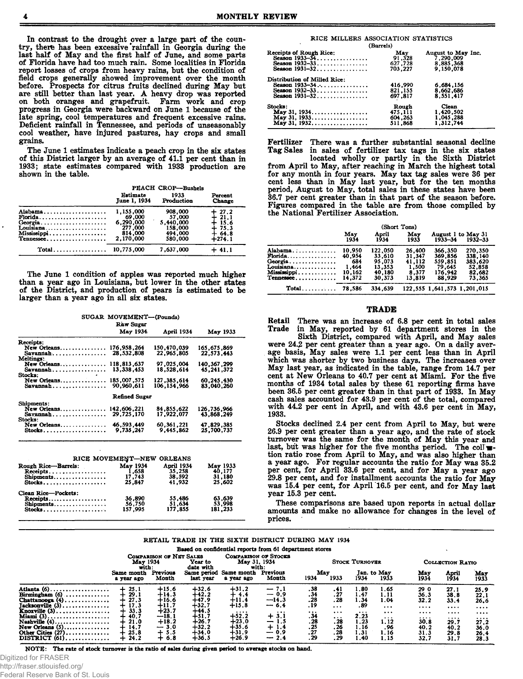In contrast to the drought over a large part of the country, there has been excessive rainfall in Georgia during the last half of May and the first half of June, and some parts of Florida have had too much rain. Some localities in Florida report losses of crops from heavy rains, but the condition of field crops generally showed improvement over the month before. Prospects for citrus fruits declined during May but are still better than last year. A heavy drop was reported on both oranges and grapefruit. Farm work and crop progress in Georgia were backward on June 1 because of the late spring, cool temperatures and frequent excessive rains. Deficient rainfall in Tennessee, and periods of unseasonably cool weather, have injured pastures, hay crops and small grains.

The June 1 estimates indicate a peach crop in the six states of this District larger by an average of 41.1 per cent than in 1933; state estimates compared with 1933 production are shown in the table.

|                                                                          | PEACH CROP-Bushels                                                  |                                                                 |                                                                       |  |  |  |
|--------------------------------------------------------------------------|---------------------------------------------------------------------|-----------------------------------------------------------------|-----------------------------------------------------------------------|--|--|--|
|                                                                          | Estimate<br>June 1, 1934                                            | 1933<br>Production                                              | Percent<br><b>Change</b>                                              |  |  |  |
| Alabama<br>$Florida$<br>Georgia<br>Louisiana<br>Mississippi<br>Tennessee | 1,155,000<br>69.000<br>6,290,000<br>277,000<br>814,000<br>2.170.000 | 908,000<br>57,000<br>5.440.000<br>158,000<br>494.000<br>580,000 | $+ 27.2$<br>$+ 21.1$<br>$+ 15.6$<br>$+ 75.3$<br>$+ 64.8$<br>$+ 274.1$ |  |  |  |
| Total 10,775,000                                                         |                                                                     | 7,637,000                                                       | $+41.1$                                                               |  |  |  |

The June 1 condition of apples was reported much higher than a year ago in Louisiana, but lower in the other states of the District, and production of pears is estimated to be larger than a year ago in all six states.

| SUGAR MOVEMENT--(Pounds)         |                   |                |                          |  |  |  |  |  |
|----------------------------------|-------------------|----------------|--------------------------|--|--|--|--|--|
|                                  | Raw Sugar         |                |                          |  |  |  |  |  |
|                                  | May 1934          | April 1934     | May 1933                 |  |  |  |  |  |
| Receipts:                        |                   |                |                          |  |  |  |  |  |
| New Orleans                      | 176,958,264       | 150,470,039    | 165,675,869              |  |  |  |  |  |
| Savannah                         | 28,532,808        | 22,965.805     | 22.573.443               |  |  |  |  |  |
| Meltings:<br>New Orleans         | 118,813,637       | 97,025,004     | 140.367.299              |  |  |  |  |  |
| Savannah                         | 13.338.453        | 18.528.614     | 45.241.372               |  |  |  |  |  |
| Stocks:                          |                   |                |                          |  |  |  |  |  |
| New Orleans                      | 185,007,575       | 127 .385 .614  | 60.245.430               |  |  |  |  |  |
|                                  | 90,960,611        | 106,154,966    | 83,040,260               |  |  |  |  |  |
|                                  | Refined Sugar     |                |                          |  |  |  |  |  |
| Shipments:                       |                   |                |                          |  |  |  |  |  |
| New Orleans                      | 142,606,221       | 84, 855, 622   | 126,736,966              |  |  |  |  |  |
| Savannah                         | 29,725,170        | 17.922.077     | 43.868.249               |  |  |  |  |  |
| Stocks:<br>New Orleans           | 46,593,449        | 60,361,221     |                          |  |  |  |  |  |
| Stock3                           | 9.735.247         | 9.445.862      | 47,829,385<br>25,700,737 |  |  |  |  |  |
|                                  | RICE MOVEMENT-NEW | <b>ORLEANS</b> |                          |  |  |  |  |  |
| Rough Ric <del>e—</del> Barrels: | May 1934          | April 1934     | <b>May 1933</b>          |  |  |  |  |  |
| Receipts                         |                   | 35,258         | 40,177                   |  |  |  |  |  |
| Shipments                        | 1,658<br>17,743   | 38,592         | 31,180                   |  |  |  |  |  |
| Stocks                           | 25.847            | 41,932         | 25.602                   |  |  |  |  |  |
| Clean Rice-Pockets:              |                   |                |                          |  |  |  |  |  |
| Receipts                         | 36,890            | 55,486         | 63.639                   |  |  |  |  |  |
| Shipments                        | 56.750            | 51,634         | 53.998                   |  |  |  |  |  |
| Stocks                           | 157.995           | 177,855        | 181.233                  |  |  |  |  |  |
|                                  |                   |                |                          |  |  |  |  |  |

| (Barrels)                                              |         |                    |  |  |  |  |  |  |  |  |
|--------------------------------------------------------|---------|--------------------|--|--|--|--|--|--|--|--|
| Receipts of Rough Rice:                                | Mav     | August to May Inc. |  |  |  |  |  |  |  |  |
| Season $1933-54$                                       | 91.328  | 7,290,009          |  |  |  |  |  |  |  |  |
| Season $1932-33$                                       | 627,728 | 8.885,368          |  |  |  |  |  |  |  |  |
| Season 1931-32                                         | 703.227 | 9,150,078          |  |  |  |  |  |  |  |  |
| Distribution of Milled Rice:                           |         |                    |  |  |  |  |  |  |  |  |
| Season 1933-34                                         | 416,990 | 6,684,156          |  |  |  |  |  |  |  |  |
| Season 1932-33                                         | 821.155 | 8,662,686          |  |  |  |  |  |  |  |  |
| Season 1931-32                                         | 697.817 | 8.551.417          |  |  |  |  |  |  |  |  |
| Stocks:                                                | Rough   | Clean              |  |  |  |  |  |  |  |  |
|                                                        | 475.111 | 1,420,502          |  |  |  |  |  |  |  |  |
|                                                        | 604.263 | 1,045,288          |  |  |  |  |  |  |  |  |
| $\text{May } 31, 1932, \ldots, \ldots, \ldots, \ldots$ | 511.868 | 1.312.744          |  |  |  |  |  |  |  |  |

Fertilizer There was a further substantial seasonal decline Tag Sales in sales of fertilizer tax tags in the six states

located wholly or partly in the Sixth District from April to May, after reaching in March the highest total for any month in four years. May tax tag sales were 36 per cent less than in May last year, but for the ten months period, August to May, total sales in these states have been 36.7 per cent greater than in that part of the season before. Figures compared in the table are from those compiled by the National Fertilizer Association.

|                                                                                       | (Short Tons)                                         |                                                           |                                                        |                                                              |                                                             |  |  |
|---------------------------------------------------------------------------------------|------------------------------------------------------|-----------------------------------------------------------|--------------------------------------------------------|--------------------------------------------------------------|-------------------------------------------------------------|--|--|
|                                                                                       | May<br>1934                                          | April<br>1934                                             | May<br>1933                                            | $1933 - 34$                                                  | August 1 to May 31<br>$1932 - 33$                           |  |  |
| Alabama<br>$\mathbf{F}$ lorida<br>Georgia<br>Louisiana<br>Mississippi<br>$T$ ennessee | 10.950<br>40,954<br>684<br>1.464<br>10.162<br>14.372 | 122.050<br>33.610<br>95,073<br>13.353<br>40.180<br>30.373 | 26.400<br>31,347<br>41.112<br>1,500<br>8.377<br>13.819 | 366,350<br>369,856<br>559,851<br>79.645<br>176.942<br>88.929 | 270,350<br>338,140<br>383.620<br>52.858<br>82,682<br>73.365 |  |  |
| $Total$                                                                               | 78.586                                               | 334.639                                                   |                                                        | 122, 555 1, 641, 573 1, 201, 015                             |                                                             |  |  |

#### TRADE

Retail There was an increase of 6.8 per cent in total sales<br>Trade in May, reported by 61 department stores in the in May, reported by 61 department stores in the

Sixth District, compared with April, and May sales were 24.2 per cent greater than a year ago. On a daily average basis, May sales were 1.1 per cent less than in April which was shorter by two business days. The increases over May last year, as indicated in the table, range from 14.7 per cent at New Orleans to 40.7 per cent at Miami. For the five months of 1934 total sales by these 61 reporting firms have been 36.5 per cent greater than in that part of 1933. In May cash sales accounted for 43.9 per cent of the total, compared with 44.2 per cent in April, and with 43.6 per cent in May, 1933.

Stocks declined 2.4 per cent from April to May, but were 26.9 per cent greater than a year ago, and the rate of stock turnover was the same for the month of May this year and last, but was higher for the five months period. The coll $\blacksquare$ tion ratio rose from April to May, and was also higher than a year ago. For regular accounts the ratio for May was 35.2 per cent, for April 33.6 per cent, and for May a year ago 29.8 per cent, and for installment accounts the ratio for May was 15.4 per cent, for April '16.5 per cent, and for May last year 15.3 per cent.

These comparisons are based upon reports in actual dollar amounts and make no allowance for changes in the level of prices.

# **RETAIL TRADE IN THE SIXTH DISTRICT DURING MAY 1934**

**Based on confidential reports from 61 department stores**

|                                                                                                                                                                                                               | COMPARISON OF NET SALES<br>May 1934<br>with:                                        |                                                                                                    | <b>COMPARISON OF STOCKS</b><br>May 31, 1934<br>Year to<br>date with<br>with:                               |                                                                                                         | <b>STOCK TURNOVER</b>                                                                                                                            |                                                                                   |                                                                                               |                                                                                 | COLLECTION RATIO                                                                        |                                                                                  |                                                                  |                                                                           |
|---------------------------------------------------------------------------------------------------------------------------------------------------------------------------------------------------------------|-------------------------------------------------------------------------------------|----------------------------------------------------------------------------------------------------|------------------------------------------------------------------------------------------------------------|---------------------------------------------------------------------------------------------------------|--------------------------------------------------------------------------------------------------------------------------------------------------|-----------------------------------------------------------------------------------|-----------------------------------------------------------------------------------------------|---------------------------------------------------------------------------------|-----------------------------------------------------------------------------------------|----------------------------------------------------------------------------------|------------------------------------------------------------------|---------------------------------------------------------------------------|
|                                                                                                                                                                                                               | Same month<br>a year ago                                                            | Previous<br>Month                                                                                  | last vear                                                                                                  | Same period Same month<br>a year ago                                                                    | Previous<br>Month                                                                                                                                | May<br>1934                                                                       | 1933                                                                                          | 1934                                                                            | Jan. to May<br>1933                                                                     | May<br>1934                                                                      | April<br>1934                                                    | May<br>1933                                                               |
| Atlanta $(6)$<br>Birmingham $(6)$<br>Chattanooga $(4)$<br>$Iacksonville(3)$<br>$\mathbf{K}$ noxville $(3)$<br>Miami $(3)$<br>Nashville $(4)$<br>New Orleans $(5)$<br>Other Cities $(27)$<br>DISTRICT $(61)$ , | $\frac{25.1}{29.1}$<br>27.3<br>17.3<br>33.3<br>40.7<br>21.0<br>14.7<br>25.8<br>24.2 | $+15.6$<br>$+14.3$<br>$+16.6$<br>+11.7<br>$+23.7$<br>$-18.1$<br>$+18.2$<br>$-3.0$<br>$+5.5$<br>6.8 | $+32.6$<br>$+42.2$<br>$+47.9$<br>$+32.7$<br>$+44.5$<br>$+51.7$<br>$+26.7$<br>$+32.2$<br>$+34.0$<br>$+36.5$ | $+31.2$<br>4.4<br>$+11.4$<br>$+15.8$<br>$\cdots$<br>$+52.2$<br>$+23.0$<br>$+35.6$<br>$+31.9$<br>$+26.9$ | 7.1<br>$\overline{\phantom{a}}$<br>$-0.9$<br>$-14.3$<br>$-6.4$<br>$\cdots$<br>$+3.1$<br>-<br>$+1.4$<br>0.9<br>$\overline{\phantom{0}}$<br>$-2.4$ | $.38$<br>$.34$<br>$.28$<br>$.19$<br>.<br>$.34$<br>$.28$<br>$.25$<br>$.27$<br>. 29 | $\frac{1}{27}$<br>.28<br>$\cdots$<br>$\cdots$<br>$\cdots$<br>.28<br>$\frac{.26}{.28}$<br>. 29 | 1.80<br>1.47<br>1.34<br>.89<br>$\cdots$<br>2.23<br>1.23<br>1.16<br>1.31<br>1.40 | 1.65<br>1.11<br>1.04<br>$\cdots$<br>$\cdots$<br>$\cdots$<br>1.12<br>.96<br>1.16<br>1.15 | 29 0<br>36.3<br>32.2<br>$\cdots$<br>$\cdots$<br><br>30.8<br>40.2<br>31.3<br>32.7 | 27.1<br>38.8<br>33.4<br><br><br><br>29.7<br>40.2<br>29.8<br>31.7 | 25.9<br>22.1<br>26.6<br>$\cdots$<br><br>.<br>27.2<br>36.0<br>26.4<br>28.3 |

NOTE: The rate of stock turnover is the ratio of sales during given period to average stocks on hand.

Digitized for FRASER

http://fraser.stlouisfed.org/

Federal Reserve Bank of St. Louis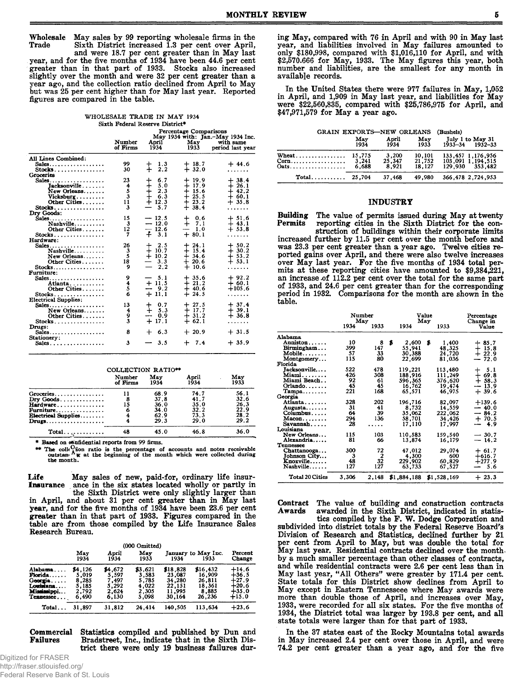May sales by 99 reporting wholesale firms in the Wholesale Sixth District increased 1.3 per cent over April, Trade and were 18.7 per cent greater than in May last

year, and for the five months of 1934 have been 44.6 per cent greater than in that part of 1933. Stocks also increased<br>slightly over the month and were 32 per cent greater than a year ago, and the collection ratio declined from April to May but was 25 per cent higher than for May last year. Reported figures are compared in the table.

| WHOLESALE TRADE IN MAY 1934     |  |
|---------------------------------|--|
| Sixth Federal Reserve District* |  |

|                             | Percentage Comparisons<br>May 1934 with: Jan.-May 1934 Inc. |                    |                    |                               |  |
|-----------------------------|-------------------------------------------------------------|--------------------|--------------------|-------------------------------|--|
|                             | Number<br>of Firms                                          | April<br>1934      | May<br>1933        | with same<br>period last vear |  |
| All Lines Combined:         |                                                             |                    |                    |                               |  |
| Sales,                      | 99                                                          | 1.3                | $+18.7$            | $+44.6$                       |  |
| Stocks<br>Groceries         | 30                                                          | 2,2                | $+32.0$            | .                             |  |
| Sales,                      | 23                                                          | 6.7<br>┿           | $+19.9$            | $+38.4$                       |  |
| Tacksonville                | 4                                                           | 5.0<br>┿           | $+17.9$            | $+26.1$                       |  |
| New Orleans                 | 5                                                           | 2.3<br>┿           | $+15.6$            | $-42.2$                       |  |
| $Vicksburg$                 | 3                                                           | $\ddag$<br>6.3     | $+25.5$            | $+$ 60.1 $\,$                 |  |
| Other Cities                | 11                                                          | $+12.3$            | $+23.2$            | $+35.8$                       |  |
| Stocks.                     | 3                                                           | 5.7                | $+38.4$            | .                             |  |
| Dry Goods:                  |                                                             |                    |                    |                               |  |
| $Sales$                     | 15                                                          | $-12.5$            | $+$ 0.6            | $+51.6$                       |  |
| Nashville                   | 3                                                           | $-12.0$            | $+ 7.1$            | $+43.1$                       |  |
| Other Cities                | 12                                                          | $-12.6$            | $-1.0$             | $+ 53.8$                      |  |
| $Stocks$                    | 7                                                           | $+ 3.1$            | $+80.1$            | . <b>. .</b>                  |  |
| Hardware:                   |                                                             |                    |                    |                               |  |
| Sales                       | 26                                                          | 2.5<br>┿           | $+24.1$            | $+50.2$                       |  |
| Nashville<br>New Orleans    | 3<br>5                                                      | $+10.7$<br>$+10.2$ | $+15.4$<br>$+34.6$ | $+30.2$<br>$+ 53.2$           |  |
| Other Cities                | 18                                                          | $-3.3$             | $+20.6$            | $+ 53.1$                      |  |
| $Stocks$                    | 9                                                           | $-2.2$             | $+10.6$            | .                             |  |
| Furniture:                  |                                                             |                    |                    |                               |  |
| Sales                       | 9                                                           | $-5.1$             | $+35.6$            | $+92.2$                       |  |
| Atlanta                     | 4                                                           | $+11.5$            | $+21.2$            | $+60.1$                       |  |
| Other Cities                | 5                                                           | $-9.2$             | $+40.6$            | $+105.6$                      |  |
| $Stocks$                    | 6                                                           | $+11.1$            | $+24.5$            | .                             |  |
| <b>Electrical Supplies:</b> |                                                             |                    |                    |                               |  |
| Sales                       | 13                                                          | 0.7<br>┿           | $+27.5$            | $+37.4$                       |  |
| New Orleans                 | 4                                                           | 5.3<br>$\div$      | $+17.7$            | $+39.1$                       |  |
| Other Cities                | 9<br>3                                                      | 0.9<br>---         | $+31.2$            | $+36.8$                       |  |
| $Stocks$                    |                                                             | $+17.1$            | $+62.1$            | .                             |  |
| Drugs:<br>$Sales$           | 8                                                           | $+$ 6.3            | $+20.9$            | $+31.5$                       |  |
| Stationery:                 |                                                             |                    |                    |                               |  |
| Sales. $\ldots$             | 3                                                           | 3.5                | $+7.4$             | $+35.9$                       |  |
|                             |                                                             |                    |                    |                               |  |

| COLLECTION RATIO <sup>**</sup> |                    |             |               |             |  |  |
|--------------------------------|--------------------|-------------|---------------|-------------|--|--|
|                                | Number<br>of Firms | May<br>1934 | April<br>1934 | May<br>1933 |  |  |
| deries                         |                    | 68.9        | 74.7          | 56.1        |  |  |
| v Goods.                       | 8                  | 37.8        | 41.7          | 32.6        |  |  |
| rdware                         | 15                 | 36.0        | 35.0          | 26.3        |  |  |
| rniture.                       | 6                  | 34.0        | 32.2          | 22.9        |  |  |
| ctrical Supplies               |                    | 62.9        | 73.3          | 28.2        |  |  |
|                                |                    | 29.3        | 29.0          | 29.2        |  |  |
| $Total$                        | 48                 | 45.0        | 46.8          | 36.0        |  |  |

\* Based on os ufidential reports from 99 firms.

The colle<sup>03</sup> on ratio is the percentage of accounts and notes receivable<br>with the colle<sup>03</sup> on ratio is the percentage of accounts and notes receivable<br>outstan. A **x** at the beginning of the month which were collected dur outstand.<br>the month.

Life May sales of new, paid-for, ordinary life insurance in the six states located wholly or partly in the Sixth District were only slightly larger than **Insurance** in April, and about 31 per cent greater than in May last year, and for the five months of 1934 have been 23.6 per cent<br>greater than in that part of 1933. Figures compared in the table are from those compiled by the Life Insurance Sales Research Bureau.

|                                                                         |                                                      |                                                      | $(000 \text{ Omitted})$                              |                                                            |                                                           |                                                                |
|-------------------------------------------------------------------------|------------------------------------------------------|------------------------------------------------------|------------------------------------------------------|------------------------------------------------------------|-----------------------------------------------------------|----------------------------------------------------------------|
|                                                                         | May<br>1934                                          | April<br>1934                                        | May<br>1933                                          | 1934                                                       | January to May Inc.<br>1933                               | Percent<br><b>Change</b>                                       |
| Alabama.<br>Florida<br>Georgia<br>Louisiana<br>Mississippi<br>Tennessee | \$4,126<br>5.019<br>8,285<br>5,185<br>2,792<br>6.490 | \$4,672<br>5.597<br>7,497<br>5.292<br>2.624<br>6.130 | \$3,621<br>3.583<br>5.785<br>4.022<br>2.305<br>5.098 | \$18,828<br>23,087<br>34.280<br>22.151<br>11.995<br>30.164 | \$16,432<br>16,909<br>26.811<br>18,361<br>8.885<br>26.236 | $+14.6$<br>$+36.5$<br>$+27.9$<br>$+20.6$<br>$+35.0$<br>$+15.0$ |
| Total                                                                   | 31,897                                               | 31,812                                               | 24,414                                               | 140,505                                                    | 113.634                                                   | $+23.6$                                                        |

**Commercial** Statistics compiled and published by Dun and **Failures** Bradstreet, Inc., indicate that in the Sixth District there were only 19 business failures dur-

Digitized for FRASER http://fraser.stlouisfed.org/ Federal Reserve Bank of St. Louis

Gr Dr Haulk

ing May, compared with 76 in April and with 90 in May last year, and liabilities involved in May failures amounted to<br>only \$180,998, compared with \$1,016,110 for April, and with<br>\$2,570.666 for May, 1933. The May figures this year, both number and liabilities, are the smallest for any month in available records.

In the United States there were 977 failures in May, 1,052 in April, and 1,909 in May last year, and liabilities for May were \$22,560,835, compared with \$25,786,975 for April, and \$47,971,579 for May a year ago.

| GRAIN EXPORTS-NEW ORLEANS |       |        |        | (Bushels)               |
|---------------------------|-------|--------|--------|-------------------------|
|                           | May   | April  | May    | July 1 to May 31        |
|                           | 1934  | 1934   | 1933   | $1933 - 34$ $1932 - 33$ |
| Wheat 15,775              | 6.688 | 3,200  | 10,101 | 133, 457 1, 176, 956    |
|                           |       | 25.347 | 21,752 | 103,091 1,194,515       |
|                           |       | 8.921  | 18.127 | 129.930 353.482         |
|                           |       | 37.468 | 49.980 | 366, 478 2, 724, 953    |

## **INDUSTRY**

**Building** The value of permits issued during May at twenty Permits reporting cities in the Sixth District for the con-

struction of buildings within their corporate limits increased further by 11.5 per cent over the month before and was 23.3 per cent greater than a year ago. Twelve cities reported gains over April, and there were also twelve increases<br>over May last year. For the five months of 1934 total per-<br>mits at these reporting cities have amounted to \$9,384,221, an increase of 112.2 per cent over the total for the same part of 1933, and 24.6 per cent greater than for the corresponding<br>period in 1932. Comparisons for the month are shown in the table.

|                            |       | Number<br>May  |    |             | Value<br>May |             | Percentage<br>Change in |
|----------------------------|-------|----------------|----|-------------|--------------|-------------|-------------------------|
|                            | 1934  | 1933           |    | 1934        |              | 1933        | Value                   |
| Alabama                    |       |                |    |             |              |             |                         |
| Anniston                   | 10    | 8              | \$ | 2,600       | \$           | 1,400       | $+85.7$                 |
| Birmingham                 | 399   | 147            |    | 55,941      |              | 48,325      | $+15.8$                 |
| ${\bf Mobile} \dots \dots$ | 57    | 33             |    | 30,388      |              | 24,720      | $+22.9$                 |
| Montgomery                 | 115   | 80             |    | 22,699      |              | 81,036      | $-72.0$                 |
| Florida                    |       |                |    |             |              |             |                         |
| Jacksonville               | 522   | 478            |    | 119,221     |              | 113,480     | 5.1<br>┿                |
| Miami                      | 426   | 308            |    | 188,916     |              | 111,249     | $+69.8$                 |
| Miami Beach                | 92    | 61             |    | 596.365     |              | 376.620     | $+58.3$                 |
| $Orlando$                  | 45    | 45             |    | 16,762      |              | 19,474      | $-13.9$                 |
| $Tampa \ldots$             | 221   | 168            |    | 65.571      |              | 46,975      | $+39.6$                 |
| Georgia                    |       |                |    |             |              |             |                         |
| Atlanta                    | 328   | 202            |    | 196,716     |              | 82,097      | $+139.6$                |
| Augusta                    | 31    | 41             |    | 8,732       |              | 14,559      | $-40.0$                 |
| $Columbus \ldots$ .        | 64    | 39             |    | 35,062      |              | 222,062     | $-84.2$                 |
| $Macon \ldots$             | 294   | 136            |    | 58,701      |              | 34,426      | $+70.5$                 |
| Savannah                   | 28    | .              |    | 17,110      |              | 17.997      | -- 4.9                  |
| Louisiana                  |       |                |    |             |              |             |                         |
| New Orleans                | 115   | 103            |    | 110,583     |              | 159,540     | $-30.7$                 |
| Alexandria                 | 81    | 66             |    | 13,874      |              | 16,179      | $-14.2$                 |
| Tennessee                  |       |                |    |             |              |             |                         |
| Chattanooga                | 300   | 72             |    | 47.012      |              | 29,074      | $+61.7$                 |
| Johnson City               | 3     | $\overline{2}$ |    | 4,300       |              | 600         | $+616.7$                |
| Knoxville                  | 48    | 32             |    | 229,902     |              | 60,829      | $+277.9$                |
| Nashville                  | 127   | 127            |    | 63,733      |              | 67.527      | 5.6<br>-                |
| Total 20 Cities            | 3,306 | 2,148          |    | \$1,884,188 |              | \$1,528,169 | $+23.3$                 |

Contract The value of building and construction contracts<br>Awards awarded in the Sixth District, indicated in statistics compiled by the F.W. Dodge Corporation and subdivided into district totals by the Federal Reserve Board's Division of Research and Statistics, declined further by 21 per cent from April to May, but was double the total for May last year. Residential contracts declined over the monthby a much smaller percentage than other classes of contracts, and while residential contracts were 2.6 per cent less than in<br>May last year, "All Others" were greater by 171.4 per cent.<br>State totals for this District show declines from April to May except in Eastern Tennesseee where May awards were more than double those of April, and increases over May, 1933, were recorded for all six states. For the five months of 1934, the District total was larger by 193.8 per cent, and all state totals were larger than for that part of 1933.

In the 37 states east of the Rocky Mountains total awards in May increased 2.4 per cent over those in April, and were 74.2 per cent greater than a year ago, and for the five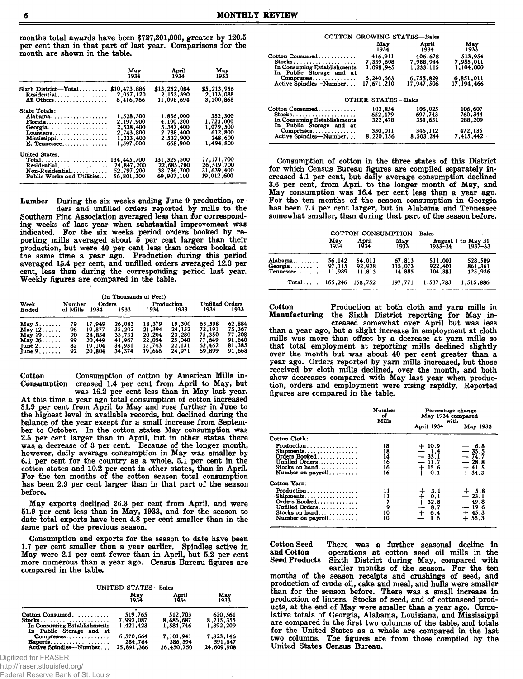months total awards have been \$727,301,000, greater by 120.5 per cent than in that part of last year. Comparisons for the month are shown in the table.

|                                                                                                                                     | May                                                                        | April                                                                    | Mav                                                                  |
|-------------------------------------------------------------------------------------------------------------------------------------|----------------------------------------------------------------------------|--------------------------------------------------------------------------|----------------------------------------------------------------------|
|                                                                                                                                     | 1934                                                                       | 1934                                                                     | 1933                                                                 |
| $Sixth$ District-Total                                                                                                              | \$10,473,886                                                               | \$13,252,084                                                             | \$5,213,956                                                          |
| Residential                                                                                                                         | 2,057,120                                                                  | 2.153.390                                                                | 2,113,088                                                            |
| All Others                                                                                                                          | 8,416,766                                                                  | 11.098.694                                                               | 3.100.868                                                            |
| State Totals:<br>Alabama<br><b>Florida</b><br>Georgia<br>Louisiana.<br>Mississippi<br>E. Tennessee                                  | 1,528,300<br>2.197.900<br>2,538,400<br>2,743,800<br>1,233,400<br>1.597.000 | 1,836,000<br>4.100,200<br>3.387.400<br>2.788.400<br>2.532.900<br>668.900 | 352,300<br>1.723.000<br>1,079,500<br>612,800<br>248,600<br>1.494.800 |
| <b>United States:</b><br>$Total$<br>Residential<br>$\textbf{Non-Residential} \dots \dots \dots \dots$<br>Public Works and Utilities | 134, 445, 700<br>24.847.200<br>52,797,200<br>56,801,300                    | 131,329,500<br>22,685,700<br>38,736,700<br>69,907,100                    | 77,171,700<br>26,519,700<br>31,639,400<br>19.012.600                 |

Lumber During the six weeks ending June 9 production, orders and unfilled orders reported by mills to the Southern Pine Association averaged less than for corresponding weeks of last year when substantial improvement was indicated. For the six weeks period orders booked by reporting mills averaged about 5 per cent larger than their<br>production, but were 40 per cent less than orders booked at the same time a year ago. Production during this period averaged 15.4 per cent, and unfilled orders averaged 12.3 per cent, less than during the corresponding period last year. Weekly figures are compared in the table.

|                                                                                                |                                  |                                                          | (In Thousands of Feet)                                   |                                                          |                                                          |                                                          |                                                          |
|------------------------------------------------------------------------------------------------|----------------------------------|----------------------------------------------------------|----------------------------------------------------------|----------------------------------------------------------|----------------------------------------------------------|----------------------------------------------------------|----------------------------------------------------------|
| Week<br>Ended                                                                                  | Number<br>of Mills               | Orders<br>1934                                           | 1933                                                     | 1934                                                     | Production<br>1933                                       | <b>Unfilled Orders</b><br>1934                           | 1933                                                     |
| May $5 \ldots$<br>May $12$<br>May $19$<br>May $26$<br>June $2, \ldots$ .<br>June $9. \ldots$ . | 79<br>96<br>90<br>99<br>82<br>92 | 17.949<br>19.877<br>24.834<br>20.449<br>19.104<br>20.804 | 26,083<br>35.202<br>33,731<br>41,967<br>34,931<br>34,374 | 18.379<br>21.394<br>20,204<br>22.054<br>15,743<br>19,666 | 19.300<br>24,152<br>23.280<br>25.040<br>22.131<br>24.971 | 63.598<br>72,191<br>75.350<br>77.649<br>62.462<br>69,899 | 62.884<br>75,367<br>77.208<br>91,640<br>81,385<br>91.668 |

Consumption of cotton by American Mills in-Cotton Consumption creased 1.4 per cent from April to May, but was 16.2 per cent less than in May last year.

At this time a year ago total consumption of cotton increased 31.9 per cent from April to May and rose further in June to the highest level in available records, but declined during the balance of the year except for a small increase from September to October. In the cotton states May consumption was 2.5 per cent larger than in April, but in other states there was a decrease of 3 per cent. Because of the longer month, however, daily average consumption in May was smaller by 6.1 per cent for the country as a whole, 5.1 per cent in the cotton states and 10.2 per cent in other states, than in April. For the ten months of the cotton season total consumption has been 2.9 per cent larger than in that part of the season before.

May exports declined 26.3 per cent from April, and were 51.9 per cent less than in May, 1933, and for the season to date total exports have been 4.8 per cent smaller than in the same part of the previous season.

Consumption and exports for the season to date have been 1.7 per cent smaller than a year earlier. Spindles active in May were 2.1 per cent fewer than in April, but 5.2 per cent more numerous than a year ago. Census Bureau figures are compared in the table.

**UNITED STATES-Bales** 

|                                                         | May<br>1934 | April<br>1934 | May<br>1933 |
|---------------------------------------------------------|-------------|---------------|-------------|
| Cotton Consumed                                         | 519.765     | 512.703       | 620,561     |
| $Stocks$                                                | 7.992.087   | 8,686,687     | 8,715,355   |
| In Consuming Establishments<br>In Public Storage and at | 1.421.423   | 1.584.746     | 1.392.209   |
| Compresses                                              | 6.570.664   | 7,101,941     | 7,323,146   |
| $\text{Exports} \dots \dots \dots \dots \dots \dots$    | 284.764     | 386,594       | 591.647     |
| Active Spindles-Number                                  | 25,891,366  | 26,450,750    | 24,609,908  |

Digitized for FRASER

http://fraser.stlouisfed.org/

Federal Reserve Bank of St. Louis

|                                                                                         | COTTON GROWING STATES-Bales       |                                   |                                   |
|-----------------------------------------------------------------------------------------|-----------------------------------|-----------------------------------|-----------------------------------|
|                                                                                         | Mav<br>1934                       | April<br>1934                     | May<br>1933                       |
| Cotton Consumed<br>$Stocks.$<br>In Consuming Establishments<br>In Public Storage and at | 416.911<br>7.339.608<br>1,098.945 | 406,678<br>7,988,944<br>1.233.115 | 513,954<br>7,955,011<br>1,104,000 |
| Compresses<br>Active Spindles-Number                                                    | 6,240,663<br>17,671,210           | 6,755,829<br>17,947,506           | 6,851,011<br>17, 194, 466         |
|                                                                                         | <b>OTHER STATES-Bales</b>         |                                   |                                   |
| Cotton Consumed<br>In Consuming Establishments<br>In Public Storage and at              | 102.854<br>652,479<br>322.478     | 106,025<br>697.743<br>351.631     | 106.607<br>760.344<br>288,209     |
| Compresses<br>Active Spindles—Number                                                    | 330,011<br>8,220,156              | 346,112<br>8.503.244              | 472,135<br>7.415.442              |

Consumption of cotton in the three states of this District for which Census Bureau figures are compiled separately increased 4.1 per cent, but daily average consumption declined 3.6 per cent, from April to the longer month of May, and May consumption was 16.4 per cent less than a year ago. For the ten months of the season consumption in Georgia<br>has been 7.1 per cent larger, but in Alabama and Tennessee somewhat smaller, than during that part of the season before.

|                                   |                            |                            | COTTON CONSUMPTION-Bales    |                               |                                   |
|-----------------------------------|----------------------------|----------------------------|-----------------------------|-------------------------------|-----------------------------------|
|                                   | May<br>1934                | April<br>1934              | May<br>1933                 | $1933 - 34$                   | August 1 to May 31<br>$1932 - 33$ |
| Alabama<br>$Georgia$<br>Tennessee | 56.142<br>97,115<br>11.989 | 54,011<br>92.928<br>11,813 | 67,813<br>115,073<br>14,885 | 511,001<br>922.401<br>104,381 | 528,589<br>861,361<br>125,936     |
| $Total \dots$                     | 165,246                    | 158.752                    | 197.771                     | 1.537.783                     | 1.515.886                         |

Cotton Production at both cloth and yarn mills in Manufacturing the Sixth District reporting for May increased somewhat over April but was less than a year ago, but a slight increase in employment at cloth mills was more than offset by a decrease at yarn mills so that total employment at reporting mills declined slightly over the month but was about 40 per cent greater than a year ago. Orders reported by yarn mills increased, but those received by cloth mills declined, over the month, and both show decreases compared with May last year when production, orders and employment were rising rapidly. Reported figures are compared in the table.

|                                                                                                                      | Number<br>of<br>Mills            | Percentage change<br>May 1934 compared<br>with                |                                                                |
|----------------------------------------------------------------------------------------------------------------------|----------------------------------|---------------------------------------------------------------|----------------------------------------------------------------|
|                                                                                                                      |                                  | April 1934                                                    | May 1933                                                       |
| Cotton Cloth:                                                                                                        |                                  |                                                               |                                                                |
| Production<br>Shipments<br>Orders Booked<br>Unfilled Orders<br>Stocks on hand<br>Number on $\mathbf{p}\text{ayroll}$ | 18<br>18<br>14<br>16<br>16<br>16 | $+10.9$<br>$-1.4$<br>$-33.1$<br>$-11.7$<br>$+15.6$<br>$+ 0.1$ | — 6.8<br>$-35.5$<br>$-74.7$<br>$-28.8$<br>$+41.5$<br>$+34.3$   |
| Cotton Yarn:                                                                                                         |                                  |                                                               |                                                                |
| Production<br>Shipments<br>Orders Booked<br>Unfilled Orders<br>Stocks on hand<br>Number on payroll                   | 11<br>11<br>7<br>9<br>10<br>10   | $+ 3.1$<br>$+ 0.1$<br>$+ 32.8$<br>8.7<br>—<br>$+ 6.4$<br>1.6  | $+ 5.8$<br>$-23.1$<br>$-49.8$<br>$-19.6$<br>$+45.3$<br>$+55.3$ |

**Cotton Seed** and Cotton **Seed Products** 

There was a further seasonal decline in operations at cotton seed oil mills in the Sixth District during May, compared with earlier months of the season. For the ten

months of the season receipts and crushings of seed, and production of crude oil, cake and meal, and hulls were smaller than for the season before. There was a small increase in production of linters. Stocks of seed, and of cottonseed products, at the end of May were smaller than a year ago. Cumulative totals of Georgia, Alabama, Louisiana, and Mississippi are compared in the first two columns of the table, and totals for the United States as a whole are compared in the last two columns. The figures are from those compiled by the United States Census Bureau.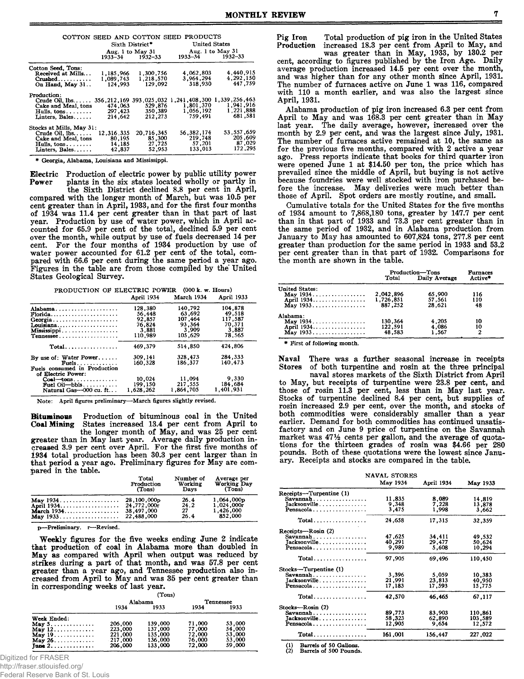|                             |                  | Sixth District* | COTTON SEED AND COTTON SEED PRODUCTS<br><b>United States</b> |              |  |  |
|-----------------------------|------------------|-----------------|--------------------------------------------------------------|--------------|--|--|
|                             |                  |                 |                                                              |              |  |  |
|                             | Aug. 1 to May 31 |                 | Aug. 1 to May 31                                             |              |  |  |
|                             |                  | 1933-34 1932-33 | 1933–34                                                      | $1932 - 33$  |  |  |
| Cotton Seed, Tons:          |                  |                 |                                                              |              |  |  |
| Received at Mills           | 1,185,966        | 1,300,756       | 4,062,803                                                    | 4,440,915    |  |  |
| Crushed                     | 1,089,743        | 1,218,570       | 3.964,294                                                    | 4.292.150    |  |  |
| On Hand, May 31             | 124,993          | 129,092         | 318,930                                                      | 447.759      |  |  |
|                             |                  |                 |                                                              |              |  |  |
| Production:                 |                  |                 |                                                              |              |  |  |
| $Crude$ Oil. $lbs$          |                  |                 | 356, 256, 463, 408, 300 1, 339, 256, 463                     |              |  |  |
| Cake and Meal, tons         | 474,063          | 529,876         | 1,801,370                                                    | 1,941,916    |  |  |
| Hulls, tons.                | 297.423          | 350,389         | 1.056.192                                                    | 1,221,888    |  |  |
|                             |                  | 212,273         | 759.491                                                      | 681,581      |  |  |
| Linters, Bales              | 214,642          |                 |                                                              |              |  |  |
| Stocks at Mills, May 31:    |                  |                 |                                                              |              |  |  |
| Crude Oil, 1bs.             | 12,316.335       | 20,716,345      | 56, 382, 174                                                 | 53, 557, 659 |  |  |
| Cake and Meal, tons         | 80,195           | 85,300          | 219,748                                                      | 205,609      |  |  |
| Hulls, $tons \ldots \ldots$ | 14,185           | 27,725          | 57,201                                                       | 87,029       |  |  |
| Linters. Bales              | 42.837           | 52.953          | 133.013                                                      | 172,295      |  |  |

\* Georgia, Alabama, Louisiana and Mississippi.

Electric Production of electric power by public utility power plants in the six states located wholly or partly in Power

the Sixth District declined 8.8 per cent in April, compared with the longer month of March, but was 10.5 per cent greater than in April, 1933, and for the first four months of 1934 was 11.4 per cent greater than in that part of last<br>year. Production by use of water power, which in April accounted for 65.9 per cent of the total, declined 5.9 per cent over the month, while output by use of fuels decreased 14 per cent. For the four months of 1934 production by use of water power accounted for 61.2 per cent of the total, compared with 66.6 per cent during the same period a year ago. Figures in the table are from those compiled by the United States Geological Survey.

|                                                                                    | April 1934                                                | March 1934                                                 | April 1933                                                |
|------------------------------------------------------------------------------------|-----------------------------------------------------------|------------------------------------------------------------|-----------------------------------------------------------|
| Alabama<br>$\mathbf{F}$ lorida<br>Georgia<br>Louisiana<br>Mississippi<br>Tennessee | 128.380<br>56.448<br>92.857<br>76.824<br>3,881<br>110.989 | 140,792<br>63,692<br>107.464<br>93.364<br>3,909<br>105.629 | 104.878<br>49.518<br>117.587<br>70,371<br>3,887<br>78.565 |
| $Total$                                                                            | 469.379                                                   | 514.850                                                    | 424,806                                                   |
| By use of: Water Power<br>$Fuels.$<br>Fuels consumed in Production                 | 309,141<br>160.328                                        | 328.473<br>186,377                                         | 284.333<br>140.473                                        |
| of Electric Power:<br>$Coal$ -tons<br>Fuel $Oil-bbls$<br>Natural Gas-000 cu. ft    | 10,024<br>199,150<br>1.628.262                            | 11,094<br>217,555<br>1.864.705                             | 9.330<br>184,684<br>1,401,931                             |

Note: April figures preliminary—March figures slightly revised.

**Bituminous** Production of bituminous coal in the United States increased 13.4 per cent from April to **Coal Mining** the longer month of May, and was 25 per cent greater than in May last year. Average daily production in-<br>creased 3.9 per cent over April. For the first five months of 1934 total production has been 30.3 per cent larger than in that period a year ago. Preliminary figures for May are compared in the table.

| - | Total      | Number of    | Average per              |
|---|------------|--------------|--------------------------|
|   | Production | Working      | <b>Working Day</b>       |
|   | (Tons)     | Davs         | (Tons)                   |
|   |            | 26.4<br>24.2 | 1,064,000p<br>1,024,000r |
|   |            | 27           | 1,426,000                |
|   |            | 26.4         | 852,000                  |

p-Preliminary. r-Revised.

Weekly figures for the five weeks ending June 2 indicate that production of coal in Alabama more than doubled in May as compared with April when output was reduced by strikes during a part of that month, and was 57.8 per cent<br>greater than a year ago, and Tennessee production also in-<br>creased from April to May and was 35 per cent greater than in corresponding weeks of last year.

 $(Tone)$ 

|                                      |         | Alabama | Tennessee |        |  |
|--------------------------------------|---------|---------|-----------|--------|--|
|                                      | 1934    | 1933    | 1934      | 1933   |  |
| Week Ended:                          |         |         |           |        |  |
| May $5. \ldots \ldots \ldots$        | 206,000 | 139,000 | 71,000    | 53,000 |  |
| May $12$                             | 223,000 | 137,000 | 77,000    | 54,000 |  |
| May $19 \dots $                      | 221,000 | 135,000 | 72,000    | 53,000 |  |
|                                      | 217,000 | 136,000 | 76,000    | 53,000 |  |
| June $2 \ldots \ldots \ldots \ldots$ | 206,000 | 133.000 | 72,000    | 59,000 |  |

Digitized for FRASER

http://fraser.stlouisfed.org/

Federal Reserve Bank of St. Louis

was greater than in May, 1933, by 130.2 per cent. according to figures published by the Iron Age. Daily average production increased 14.5 per cent over the month, and was higher than for any other month since April, 1931. The number of furnaces active on June 1 was 116, compared with 110 a month earlier, and was also the largest since April. 1931.

Alabama production of pig iron increased 6.3 per cent from April to May and was 168.3 per cent greater than in May last year. The daily average, however, increased over the month by 2.9 per cent, and was the largest since July, 1931. The number of furnaces active remained at 10, the same as for the previous five months, compared with 2 active a year ago. Press reports indicate that books for third quarter iron were opened June 1 at \$14.50 per ton, the price which has<br>prevailed since the middle of April, but buying is not active because foundries were well stocked with iron purchased before the increase. May deliveries were much better than those of April. Spot orders are mostly routine, and small.

Cumulative totals for the United States for the five months of 1934 amount to 7,868,180 tons, greater by 147.7 per cent<br>than in that part of 1933 and 73.3 per cent greater than in<br>the same period of 1932, and in Alabama production from January to May has amounted to 607,824 tons, 277.8 per cent greater than production for the same period in 1933 and 53.2 per cent greater than in that part of 1932. Comparisons for the month are shown in the table.

| 2.042.896<br>1.726.851 | Production-Tons<br>Total Daily Average<br>65,900 | Active*<br>116 |
|------------------------|--------------------------------------------------|----------------|
|                        |                                                  |                |
|                        |                                                  |                |
|                        |                                                  |                |
|                        | 57,561                                           | 110            |
| 887,252                | 28,621                                           | 48             |
|                        |                                                  |                |
| 130,364                | 4,205                                            | 10             |
|                        |                                                  | 10             |
| 48,583                 | 1.567                                            |                |
|                        | 122,591                                          | 4,086          |

\* First of following month.

Naval There was a further seasonal increase in receipts of both turpentine and rosin at the three principal **Stores** 

naval stores markets of the Sixth District from April to May, but receipts of turpentine were 23.8 per cent, and those of rosin 11.3 per cent, less than in May last year. Stocks of turpentine declined 8.4 per cent, but supplies of<br>rosin increased 2.9 per cent, over the month, and stocks of both commodities were considerably smaller than a year earlier. Demand for both commodities has continued unsatisfactory and on June 9 price of turpentine on the Savannah market was 471/2 cents per gallon, and the average of quotations for the thirteen grades of rosin was \$4.66 per 280 pounds. Both of these quotations were the lowest since January. Receipts and stocks are compared in the table.

|                              | NAVAL STORES |            |          |  |
|------------------------------|--------------|------------|----------|--|
|                              | May 1934     | April 1934 | May 1933 |  |
| Receipts-Turpentine (1)      |              |            |          |  |
| Savannah                     | 11,835       | 8,089      | 14,819   |  |
| Jacksonville.                | 9.348        | 7,228      | 13,878   |  |
| Pensacola                    | 3,475        | 1,998      | 3,662    |  |
| $Total \ldots \ldots \ldots$ | 24,658       | 17,315     | 32,359   |  |
| Receipts-Rosin (2)           |              |            |          |  |
| Savannah                     | 47,625       | 34,411     | 49.532   |  |
| Jacksonville.                | 40,291       | 29.477     | 50.624   |  |
| Pensacola                    | 9,989        | 5,608      | 10.294   |  |
| Total                        | 97,905       | 69.496     | 110.450  |  |
| Stocks-Turpentine (1)        |              |            |          |  |
| $Savannah$                   | 3,396        | 5.059      | 10,383   |  |
| Jacksonville                 | 21,991       | 23,813     | 40,950   |  |
| Pensacola                    | 17,183       | 17.593     | 15,775   |  |
| Total                        | 42.570       | 46,465     | 67.117   |  |
| Stocks-Rosin (2)             |              |            |          |  |
| Savannah                     | 89,773       | 83,903     | 110,861  |  |
| Jacksonville.                | 58,323       | 62,890     | 103,589  |  |
| Pensacola                    | 12,905       | 9,654      | 12,572   |  |
|                              |              |            |          |  |
| $Total$                      | 161,001      | 156,447    | 227,022  |  |

Barrels of 50 Gallons. Barrels of 500 Pounds.